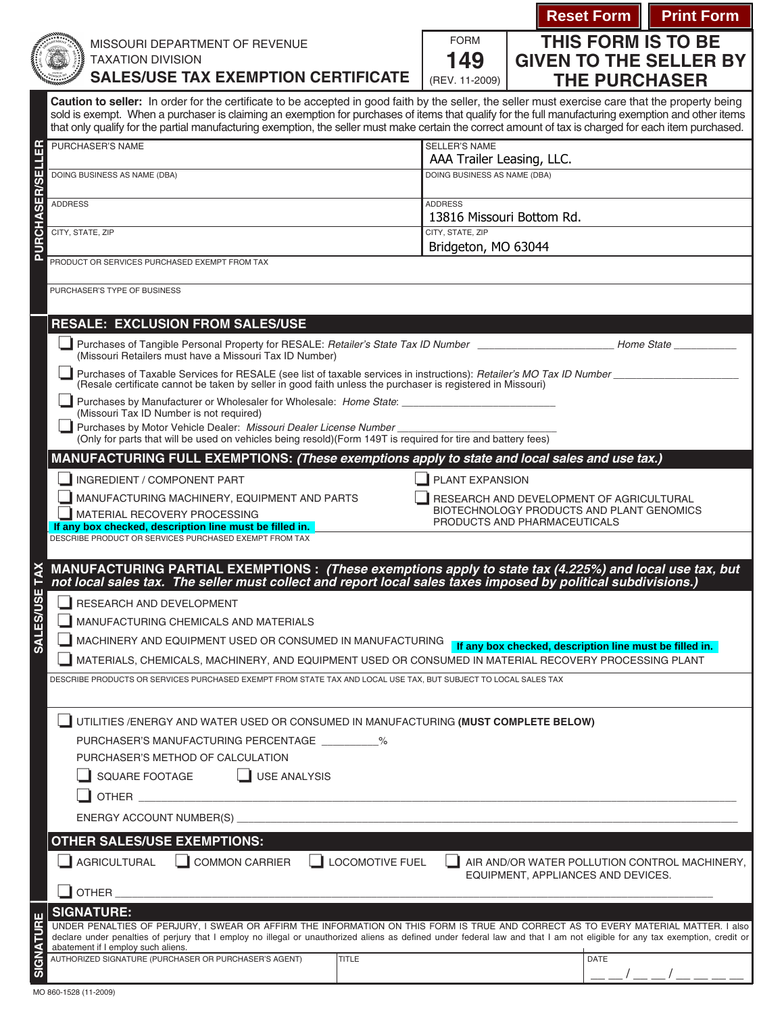|                                                                                                                                                                                                                                                                                                                       |                                                                                                                                                                                                                                                                                                             |                                                                           |                                          | <b>Reset Form   Print Form</b> |  |
|-----------------------------------------------------------------------------------------------------------------------------------------------------------------------------------------------------------------------------------------------------------------------------------------------------------------------|-------------------------------------------------------------------------------------------------------------------------------------------------------------------------------------------------------------------------------------------------------------------------------------------------------------|---------------------------------------------------------------------------|------------------------------------------|--------------------------------|--|
|                                                                                                                                                                                                                                                                                                                       | MISSOURI DEPARTMENT OF REVENUE                                                                                                                                                                                                                                                                              | <b>FORM</b>                                                               | THIS FORM IS TO BE                       |                                |  |
|                                                                                                                                                                                                                                                                                                                       | <b>TAXATION DIVISION</b>                                                                                                                                                                                                                                                                                    | 149                                                                       | <b>GIVEN TO THE SELLER BY</b>            |                                |  |
|                                                                                                                                                                                                                                                                                                                       | <b>SALES/USE TAX EXEMPTION CERTIFICATE</b>                                                                                                                                                                                                                                                                  | (REV. 11-2009)                                                            | <b>THE PURCHASER</b>                     |                                |  |
|                                                                                                                                                                                                                                                                                                                       | Caution to seller: In order for the certificate to be accepted in good faith by the seller, the seller must exercise care that the property being                                                                                                                                                           |                                                                           |                                          |                                |  |
|                                                                                                                                                                                                                                                                                                                       | sold is exempt. When a purchaser is claiming an exemption for purchases of items that qualify for the full manufacturing exemption and other items<br>that only qualify for the partial manufacturing exemption, the seller must make certain the correct amount of tax is charged for each item purchased. |                                                                           |                                          |                                |  |
|                                                                                                                                                                                                                                                                                                                       | PURCHASER'S NAME<br><b>SELLER'S NAME</b>                                                                                                                                                                                                                                                                    |                                                                           |                                          |                                |  |
|                                                                                                                                                                                                                                                                                                                       | DOING BUSINESS AS NAME (DBA)                                                                                                                                                                                                                                                                                | AAA Trailer Leasing, LLC.<br>DOING BUSINESS AS NAME (DBA)                 |                                          |                                |  |
|                                                                                                                                                                                                                                                                                                                       |                                                                                                                                                                                                                                                                                                             |                                                                           |                                          |                                |  |
| <b>PURCHASER/SELLER</b>                                                                                                                                                                                                                                                                                               | <b>ADDRESS</b>                                                                                                                                                                                                                                                                                              | <b>ADDRESS</b><br>13816 Missouri Bottom Rd.                               |                                          |                                |  |
|                                                                                                                                                                                                                                                                                                                       | CITY, STATE, ZIP                                                                                                                                                                                                                                                                                            | CITY, STATE, ZIP                                                          |                                          |                                |  |
|                                                                                                                                                                                                                                                                                                                       | Bridgeton, MO 63044<br>PRODUCT OR SERVICES PURCHASED EXEMPT FROM TAX                                                                                                                                                                                                                                        |                                                                           |                                          |                                |  |
|                                                                                                                                                                                                                                                                                                                       |                                                                                                                                                                                                                                                                                                             |                                                                           |                                          |                                |  |
|                                                                                                                                                                                                                                                                                                                       | PURCHASER'S TYPE OF BUSINESS                                                                                                                                                                                                                                                                                |                                                                           |                                          |                                |  |
|                                                                                                                                                                                                                                                                                                                       | <b>RESALE: EXCLUSION FROM SALES/USE</b>                                                                                                                                                                                                                                                                     |                                                                           |                                          |                                |  |
|                                                                                                                                                                                                                                                                                                                       | (Missouri Retailers must have a Missouri Tax ID Number)                                                                                                                                                                                                                                                     |                                                                           |                                          |                                |  |
| Purchases of Taxable Services for RESALE (see list of taxable services in instructions): Retailer's MO Tax ID Number<br>(Resale certificate cannot be taken by seller in good faith unless the purchaser is registered in Missouri)<br>Purchases by Manufacturer or Wholesaler for Wholesale: Home State: Name State: |                                                                                                                                                                                                                                                                                                             |                                                                           |                                          |                                |  |
|                                                                                                                                                                                                                                                                                                                       |                                                                                                                                                                                                                                                                                                             |                                                                           |                                          |                                |  |
|                                                                                                                                                                                                                                                                                                                       | (Missouri Tax ID Number is not required)<br>Purchases by Motor Vehicle Dealer: Missouri Dealer License Number_                                                                                                                                                                                              |                                                                           |                                          |                                |  |
|                                                                                                                                                                                                                                                                                                                       | (Only for parts that will be used on vehicles being resold)(Form 149T is required for tire and battery fees)                                                                                                                                                                                                |                                                                           |                                          |                                |  |
|                                                                                                                                                                                                                                                                                                                       | MANUFACTURING FULL EXEMPTIONS: (These exemptions apply to state and local sales and use tax.)<br>INGREDIENT / COMPONENT PART<br>$\blacksquare$ PLANT EXPANSION                                                                                                                                              |                                                                           |                                          |                                |  |
|                                                                                                                                                                                                                                                                                                                       | MANUFACTURING MACHINERY, EQUIPMENT AND PARTS                                                                                                                                                                                                                                                                |                                                                           | RESEARCH AND DEVELOPMENT OF AGRICULTURAL |                                |  |
|                                                                                                                                                                                                                                                                                                                       | MATERIAL RECOVERY PROCESSING                                                                                                                                                                                                                                                                                | BIOTECHNOLOGY PRODUCTS AND PLANT GENOMICS<br>PRODUCTS AND PHARMACEUTICALS |                                          |                                |  |
|                                                                                                                                                                                                                                                                                                                       | If any box checked, description line must be filled in.<br>DESCRIBE PRODUCT OR SERVICES PURCHASED EXEMPT FROM TAX                                                                                                                                                                                           |                                                                           |                                          |                                |  |
|                                                                                                                                                                                                                                                                                                                       |                                                                                                                                                                                                                                                                                                             |                                                                           |                                          |                                |  |
|                                                                                                                                                                                                                                                                                                                       | MANUFACTURING PARTIAL EXEMPTIONS : (These exemptions apply to state tax (4.225%) and local use tax, but<br>not local sales tax. The seller must collect and report local sales taxes imposed by political subdivisions.)                                                                                    |                                                                           |                                          |                                |  |
| <b>SALES/USE</b><br>RESEARCH AND DEVELOPMENT                                                                                                                                                                                                                                                                          |                                                                                                                                                                                                                                                                                                             |                                                                           |                                          |                                |  |
|                                                                                                                                                                                                                                                                                                                       | MANUFACTURING CHEMICALS AND MATERIALS                                                                                                                                                                                                                                                                       |                                                                           |                                          |                                |  |
| MACHINERY AND EQUIPMENT USED OR CONSUMED IN MANUFACTURING<br>If any box checked, description line must be filled in.<br>MATERIALS, CHEMICALS, MACHINERY, AND EQUIPMENT USED OR CONSUMED IN MATERIAL RECOVERY PROCESSING PLANT                                                                                         |                                                                                                                                                                                                                                                                                                             |                                                                           |                                          |                                |  |
|                                                                                                                                                                                                                                                                                                                       | DESCRIBE PRODUCTS OR SERVICES PURCHASED EXEMPT FROM STATE TAX AND LOCAL USE TAX, BUT SUBJECT TO LOCAL SALES TAX                                                                                                                                                                                             |                                                                           |                                          |                                |  |
|                                                                                                                                                                                                                                                                                                                       |                                                                                                                                                                                                                                                                                                             |                                                                           |                                          |                                |  |
|                                                                                                                                                                                                                                                                                                                       | UTILITIES / ENERGY AND WATER USED OR CONSUMED IN MANUFACTURING (MUST COMPLETE BELOW)                                                                                                                                                                                                                        |                                                                           |                                          |                                |  |
| PURCHASER'S MANUFACTURING PERCENTAGE __________%<br>PURCHASER'S METHOD OF CALCULATION<br>$\Box$ USE ANALYSIS<br>SQUARE FOOTAGE                                                                                                                                                                                        |                                                                                                                                                                                                                                                                                                             |                                                                           |                                          |                                |  |
|                                                                                                                                                                                                                                                                                                                       |                                                                                                                                                                                                                                                                                                             |                                                                           |                                          |                                |  |
|                                                                                                                                                                                                                                                                                                                       |                                                                                                                                                                                                                                                                                                             |                                                                           |                                          |                                |  |
|                                                                                                                                                                                                                                                                                                                       | OTHER <b>Example 2018</b>                                                                                                                                                                                                                                                                                   |                                                                           |                                          |                                |  |
|                                                                                                                                                                                                                                                                                                                       | ENERGY ACCOUNT NUMBER(S) _                                                                                                                                                                                                                                                                                  |                                                                           |                                          |                                |  |
|                                                                                                                                                                                                                                                                                                                       | <b>OTHER SALES/USE EXEMPTIONS:</b>                                                                                                                                                                                                                                                                          |                                                                           |                                          |                                |  |
| <b>AGRICULTURAL</b><br><b>COMMON CARRIER</b><br>LOCOMOTIVE FUEL<br>AIR AND/OR WATER POLLUTION CONTROL MACHINERY,<br>EQUIPMENT, APPLIANCES AND DEVICES.                                                                                                                                                                |                                                                                                                                                                                                                                                                                                             |                                                                           |                                          |                                |  |
|                                                                                                                                                                                                                                                                                                                       | OTHER                                                                                                                                                                                                                                                                                                       |                                                                           |                                          |                                |  |
|                                                                                                                                                                                                                                                                                                                       | <b>SIGNATURE:</b><br>UNDER PENALTIES OF PERJURY, I SWEAR OR AFFIRM THE INFORMATION ON THIS FORM IS TRUE AND CORRECT AS TO EVERY MATERIAL MATTER. I also                                                                                                                                                     |                                                                           |                                          |                                |  |
| <b>SIGNATURE</b>                                                                                                                                                                                                                                                                                                      | declare under penalties of perjury that I employ no illegal or unauthorized aliens as defined under federal law and that I am not eligible for any tax exemption, credit or<br>abatement if I employ such aliens.                                                                                           |                                                                           |                                          |                                |  |
|                                                                                                                                                                                                                                                                                                                       | AUTHORIZED SIGNATURE (PURCHASER OR PURCHASER'S AGENT)<br><b>TITLE</b>                                                                                                                                                                                                                                       |                                                                           | DATE                                     |                                |  |
|                                                                                                                                                                                                                                                                                                                       |                                                                                                                                                                                                                                                                                                             |                                                                           |                                          |                                |  |